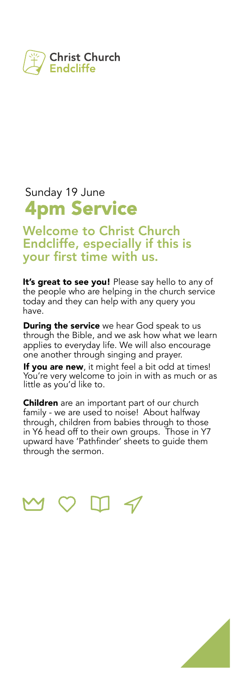

## Sunday 19 June **4pm Service**

**Welcome to Christ Church Endcliffe, especially if this is your first time with us.**

**It's great to see you!** Please say hello to any of the people who are helping in the church service today and they can help with any query you have.

**During the service** we hear God speak to us through the Bible, and we ask how what we learn applies to everyday life. We will also encourage one another through singing and prayer.

**If you are new**, it might feel a bit odd at times! You're very welcome to join in with as much or as little as you'd like to.

**Children** are an important part of our church family - we are used to noise! About halfway through, children from babies through to those in Y6 head off to their own groups. Those in Y7 upward have 'Pathfinder' sheets to guide them through the sermon.



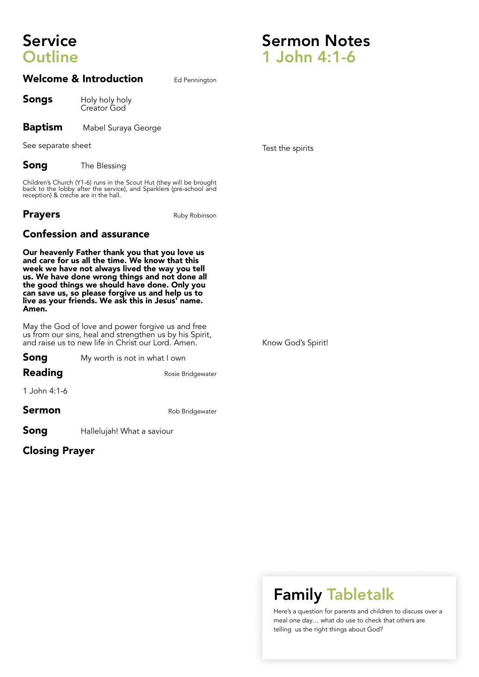# **Service Outline**

#### **Welcome & Introduction** Ed Pennington

**Songs** Holy holy holy Creator God

**Baptism** Mabel Suraya George

See separate sheet

**Song** The Blessing

Children's Church (Y1-6) runs in the Scout Hut (they will be brought back to the lobby after the service), and Sparklers (pre-school and reception) & creche are in the hall.

**Prayers** Ruby Robinson

#### **Confession and assurance**

**Our heavenly Father thank you that you love us and care for us all the time. We know that this week we have not always lived the way you tell us. We have done wrong things and not done all the good things we should have done. Only you can save us, so please forgive us and help us to live as your friends. We ask this in Jesus' name. Amen.**

May the God of love and power forgive us and free us from our sins, heal and strengthen us by his Spirit, and raise us to new life in Christ our Lord. Amen.

| Song           | My worth is not in what I own |  |
|----------------|-------------------------------|--|
| <b>Reading</b> | Rosie Bridgewater             |  |
| 1 John 4:1-6   |                               |  |
| Sermon         | Rob Bridgewater               |  |
| Song           | Hallelujah! What a saviour    |  |

**Closing Prayer**

#### Test the spirits

**Sermon Notes**

**1 John 4:1-6**

Know God's Spirit!

# **Family Tabletalk**

Here's a question for parents and children to discuss over a meal one day… what do use to check that others are telling us the right things about God?